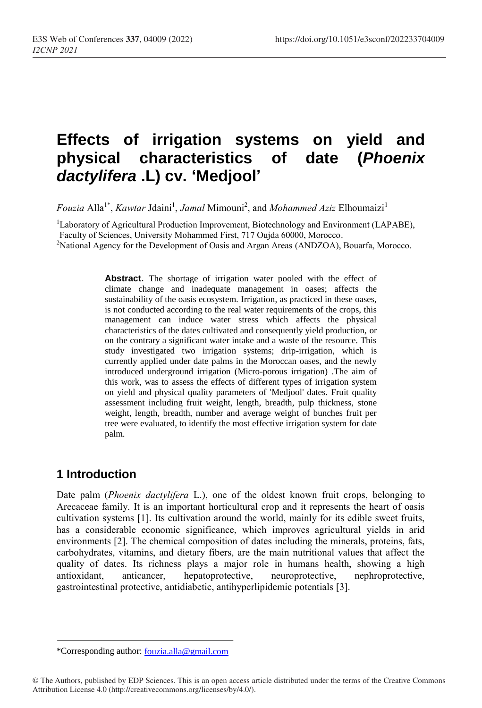# **Effects of irrigation systems on yield and physical characteristics of date (***Phoenix dactylifera* **.L) cv. 'Medjool'**

*Fouzia* Alla<sup>1\*</sup>, *Kawtar* Jdaini<sup>1</sup>, *Jamal* Mimouni<sup>2</sup>, and *Mohammed Aziz* Elhoumaizi<sup>1</sup>

<sup>1</sup>Laboratory of Agricultural Production Improvement, Biotechnology and Environment (LAPABE), Faculty of Sciences, University Mohammed First, 717 Oujda 60000, Morocco.

<sup>2</sup>National Agency for the Development of Oasis and Argan Areas (ANDZOA), Bouarfa, Morocco.

**Abstract.** The shortage of irrigation water pooled with the effect of climate change and inadequate management in oases; affects the sustainability of the oasis ecosystem. Irrigation, as practiced in these oases, is not conducted according to the real water requirements of the crops, this management can induce water stress which affects the physical characteristics of the dates cultivated and consequently yield production, or on the contrary a significant water intake and a waste of the resource. This study investigated two irrigation systems; drip-irrigation, which is currently applied under date palms in the Moroccan oases, and the newly introduced underground irrigation (Micro-porous irrigation) .The aim of this work, was to assess the effects of different types of irrigation system on yield and physical quality parameters of 'Medjool' dates. Fruit quality assessment including fruit weight, length, breadth, pulp thickness, stone weight, length, breadth, number and average weight of bunches fruit per tree were evaluated, to identify the most effective irrigation system for date palm.

### **1 Introduction**

Date palm (*Phoenix dactylifera* L.), one of the oldest known fruit crops, belonging to Arecaceae family. It is an important horticultural crop and it represents the heart of oasis cultivation systems [1]. Its cultivation around the world, mainly for its edible sweet fruits, has a considerable economic significance, which improves agricultural yields in arid environments [2]. The chemical composition of dates including the minerals, proteins, fats, carbohydrates, vitamins, and dietary fibers, are the main nutritional values that affect the quality of dates. Its richness plays a major role in humans health, showing a high antioxidant, anticancer, hepatoprotective, neuroprotective, nephroprotective, gastrointestinal protective, antidiabetic, antihyperlipidemic potentials [3].

<sup>\*</sup>Corresponding author: [fouzia.alla@gmail.com](mailto:fouzia.alla@gmail.com)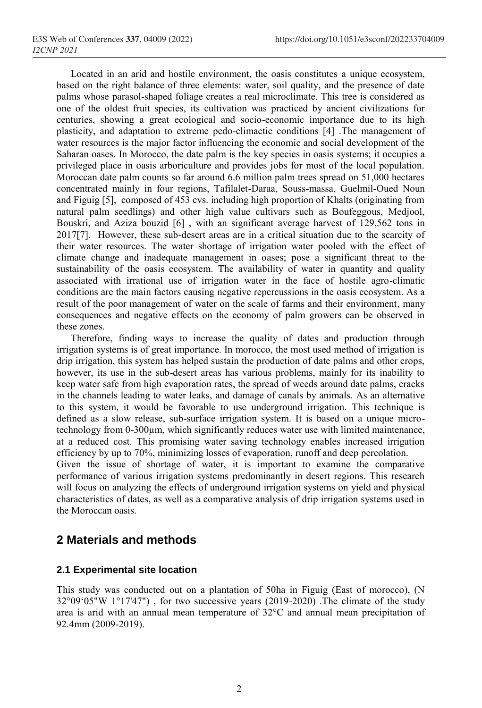Located in an arid and hostile environment, the oasis constitutes a unique ecosystem, based on the right balance of three elements: water, soil quality, and the presence of date palms whose parasol-shaped foliage creates a real microclimate. This tree is considered as one of the oldest fruit species, its cultivation was practiced by ancient civilizations for centuries, showing a great ecological and socio-economic importance due to its high plasticity, and adaptation to extreme pedo-climactic conditions [4] .The management of water resources is the major factor influencing the economic and social development of the Saharan oases. In Morocco, the date palm is the key species in oasis systems; it occupies a privileged place in oasis arboriculture and provides jobs for most of the local population. Moroccan date palm counts so far around 6.6 million palm trees spread on 51,000 hectares concentrated mainly in four regions, Tafilalet-Daraa, Souss-massa, Guelmil-Oued Noun and Figuig [5], composed of 453 cvs. including high proportion of Khalts (originating from natural palm seedlings) and other high value cultivars such as Boufeggous, Medjool, Bouskri, and Aziza bouzid [6] , with an significant average harvest of 129,562 tons in 2017[7]. However, these sub-desert areas are in a critical situation due to the scarcity of their water resources. The water shortage of irrigation water pooled with the effect of climate change and inadequate management in oases; pose a significant threat to the sustainability of the oasis ecosystem. The availability of water in quantity and quality associated with irrational use of irrigation water in the face of hostile agro-climatic conditions are the main factors causing negative repercussions in the oasis ecosystem. As a result of the poor management of water on the scale of farms and their environment, many consequences and negative effects on the economy of palm growers can be observed in these zones.

Therefore, finding ways to increase the quality of dates and production through irrigation systems is of great importance. In morocco, the most used method of irrigation is drip irrigation, this system has helped sustain the production of date palms and other crops, however, its use in the sub-desert areas has various problems, mainly for its inability to keep water safe from high evaporation rates, the spread of weeds around date palms, cracks in the channels leading to water leaks, and damage of canals by animals. As an alternative to this system, it would be favorable to use underground irrigation. This technique is defined as a slow release, sub-surface irrigation system. It is based on a unique microtechnology from 0-300μm, which significantly reduces water use with limited maintenance, at a reduced cost. This promising water saving technology enables increased irrigation efficiency by up to 70%, minimizing losses of evaporation, runoff and deep percolation. Given the issue of shortage of water, it is important to examine the comparative

performance of various irrigation systems predominantly in desert regions. This research will focus on analyzing the effects of underground irrigation systems on yield and physical characteristics of dates, as well as a comparative analysis of drip irrigation systems used in the Moroccan oasis.

### **2 Materials and methods**

### **2.1 Experimental site location**

This study was conducted out on a plantation of 50ha in Figuig (East of morocco), (N 32°09'05"W 1°17'47") , for two successive years (2019-2020) .The climate of the study area is arid with an annual mean temperature of 32°C and annual mean precipitation of 92.4mm (2009-2019).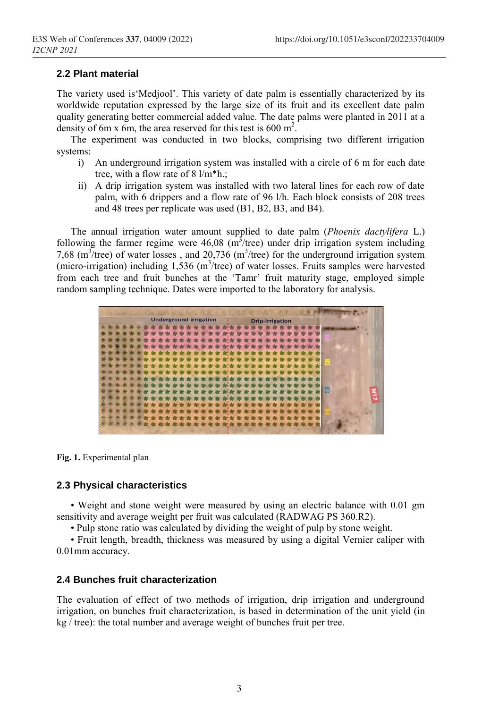#### **2.2 Plant material**

The variety used is'Medjool'. This variety of date palm is essentially characterized by its worldwide reputation expressed by the large size of its fruit and its excellent date palm quality generating better commercial added value. The date palms were planted in 2011 at a density of 6m x 6m, the area reserved for this test is 600 m<sup>2</sup>.

The experiment was conducted in two blocks, comprising two different irrigation systems:

- i) An underground irrigation system was installed with a circle of 6 m for each date tree, with a flow rate of 8 l/m\*h.;
- ii) A drip irrigation system was installed with two lateral lines for each row of date palm, with 6 drippers and a flow rate of 96 l/h. Each block consists of 208 trees and 48 trees per replicate was used (B1, B2, B3, and B4).

The annual irrigation water amount supplied to date palm (*Phoenix dactylifera* L.) following the farmer regime were  $46,08$  (m<sup>3</sup>/tree) under drip irrigation system including 7,68 ( $m^3$ /tree) of water losses, and 20,736 ( $m^3$ /tree) for the underground irrigation system (micro-irrigation) including  $1,536$  (m<sup>3</sup>/tree) of water losses. Fruits samples were harvested from each tree and fruit bunches at the 'Tamr' fruit maturity stage, employed simple random sampling technique. Dates were imported to the laboratory for analysis.



**Fig. 1.** Experimental plan

#### **2.3 Physical characteristics**

• Weight and stone weight were measured by using an electric balance with 0.01 gm sensitivity and average weight per fruit was calculated (RADWAG PS 360.R2).

• Pulp stone ratio was calculated by dividing the weight of pulp by stone weight.

• Fruit length, breadth, thickness was measured by using a digital Vernier caliper with 0.01mm accuracy.

#### **2.4 Bunches fruit characterization**

The evaluation of effect of two methods of irrigation, drip irrigation and underground irrigation, on bunches fruit characterization, is based in determination of the unit yield (in kg / tree): the total number and average weight of bunches fruit per tree.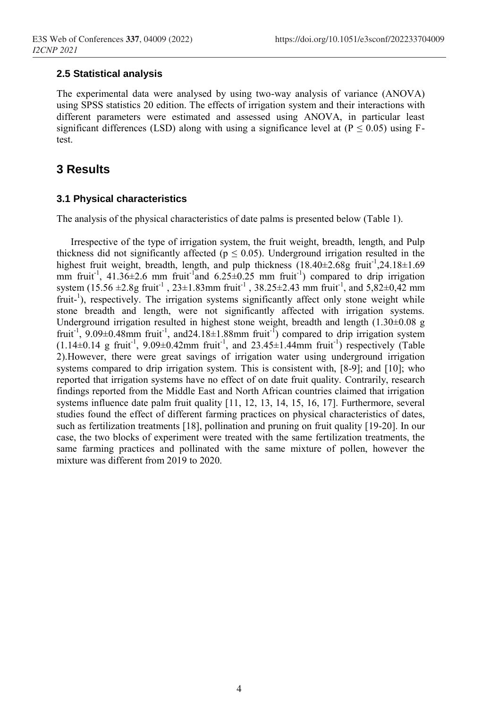#### **2.5 Statistical analysis**

The experimental data were analysed by using two-way analysis of variance (ANOVA) using SPSS statistics 20 edition. The effects of irrigation system and their interactions with different parameters were estimated and assessed using ANOVA, in particular least significant differences (LSD) along with using a significance level at  $(P \le 0.05)$  using Ftest.

## **3 Results**

#### **3.1 Physical characteristics**

The analysis of the physical characteristics of date palms is presented below (Table 1).

Irrespective of the type of irrigation system, the fruit weight, breadth, length, and Pulp thickness did not significantly affected ( $p \le 0.05$ ). Underground irrigation resulted in the highest fruit weight, breadth, length, and pulp thickness (18.40±2.68g fruit<sup>-1</sup>,24.18±1.69 mm fruit<sup>-1</sup>, 41.36 $\pm$ 2.6 mm fruit<sup>-1</sup> and 6.25 $\pm$ 0.25 mm fruit<sup>-1</sup>) compared to drip irrigation system  $(15.56 \pm 2.8g \text{ fruit}^{-1}, 23 \pm 1.83 \text{mm fruit}^{-1}, 38.25 \pm 2.43 \text{mm fruit}^{-1}, \text{and } 5.82 \pm 0.42 \text{mm}$ fruit-<sup>1</sup>), respectively. The irrigation systems significantly affect only stone weight while stone breadth and length, were not significantly affected with irrigation systems. Underground irrigation resulted in highest stone weight, breadth and length (1.30±0.08 g fruit<sup>-1</sup>, 9.09 $\pm$ 0.48mm fruit<sup>-1</sup>, and24.18 $\pm$ 1.88mm fruit<sup>-1</sup>) compared to drip irrigation system  $(1.14\pm0.14 \text{ g fruit}^1, 9.09\pm0.42 \text{mm fruit}^1, \text{ and } 23.45\pm1.44 \text{mm fruit}^1)$  respectively (Table 2).However, there were great savings of irrigation water using underground irrigation systems compared to drip irrigation system. This is consistent with,  $[8-9]$ ; and  $[10]$ ; who reported that irrigation systems have no effect of on date fruit quality. Contrarily, research findings reported from the Middle East and North African countries claimed that irrigation systems influence date palm fruit quality [11, 12, 13, 14, 15, 16, 17]. Furthermore, several studies found the effect of different farming practices on physical characteristics of dates, such as fertilization treatments [18], pollination and pruning on fruit quality [19-20]. In our case, the two blocks of experiment were treated with the same fertilization treatments, the same farming practices and pollinated with the same mixture of pollen, however the mixture was different from 2019 to 2020.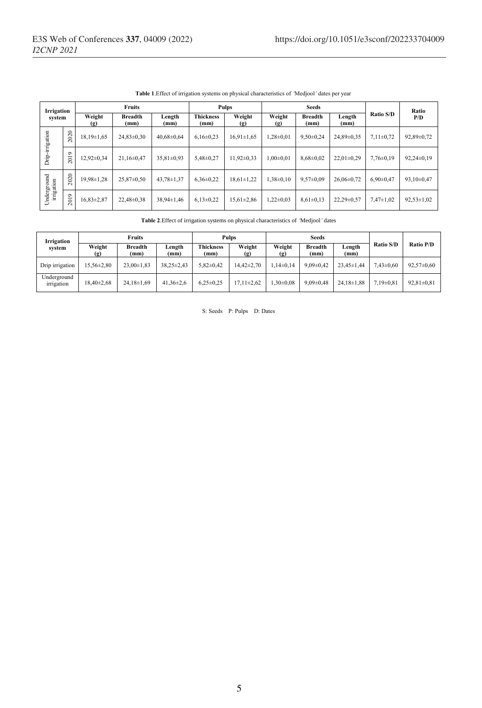| Irrigation<br>system      |                             | <b>Fruits</b>    |                        |                  | Pulps                    |                  | <b>Seeds</b>                          |                        |                  |                  | Ratio            |
|---------------------------|-----------------------------|------------------|------------------------|------------------|--------------------------|------------------|---------------------------------------|------------------------|------------------|------------------|------------------|
|                           |                             | Weight<br>(g)    | <b>Breadth</b><br>(mm) | Length<br>(mm)   | <b>Thickness</b><br>(mm) | Weight<br>$(g)$  | Weight<br>$\left( \mathbf{g} \right)$ | <b>Breadth</b><br>(mm) | Length<br>(mm)   | <b>Ratio S/D</b> | P/D              |
| Drip-irrigation           | 2020                        | $18.19 \pm 1.65$ | $24.83 \pm 0.30$       | $40.68 \pm 0.64$ | $6.16 \pm 0.23$          | $16,91\pm1,65$   | $1,28\pm0.01$                         | $9,50\pm0.24$          | 24.89±0.35       | $7,11\pm0,72$    | 92,89±0,72       |
|                           | $\circ$<br>$\overline{201}$ | 12,92±0,34       | $21,16\pm0,47$         | $35,81\pm0,93$   | $5.48 \pm 0.27$          | $11,92\pm0.33$   | $1,00\pm0,01$                         | $8.68 \pm 0.02$        | $22.01 \pm 0.29$ | $7.76 \pm 0.19$  | $92,24\pm0,19$   |
| Underground<br>irrigation | 2020                        | 19.98±1.28       | $25.87 \pm 0.50$       | $43.78 \pm 1.37$ | $6.36 \pm 0.22$          | $18.61 \pm 1.22$ | $1.38 \pm 0.10$                       | $9.57 \pm 0.09$        | $26.06 \pm 0.72$ | $6.90 \pm 0.47$  | $93,10\pm0,47$   |
|                           | $\circ$<br>$\overline{20}$  | 16,83±2,87       | 22,48±0,38             | 38,94±1,46       | $6,13\pm0,22$            | $15,61\pm2,86$   | $1.22 \pm 0.03$                       | $8,61\pm0,13$          | $22.29 \pm 0.57$ | $7,47 \pm 1,02$  | $92,53 \pm 1,02$ |

**Table 1**.Effect of irrigation systems on physical characteristics of *'*Medjool*'* dates per year

**Table 2**.Effect of irrigation systems on physical characteristics of *'*Medjool*'* dates

| Irrigation                | Fruits           |                        |                  | Pulps                    |                              | <b>Seeds</b>                 |                        |                  |                  |                  |
|---------------------------|------------------|------------------------|------------------|--------------------------|------------------------------|------------------------------|------------------------|------------------|------------------|------------------|
| system                    | Weight<br>(g)    | <b>Breadth</b><br>(mm) | Length<br>(mm)   | <b>Thickness</b><br>(mm) | Weight<br>$\left( g \right)$ | Weight<br>$\left( g \right)$ | <b>Breadth</b><br>(mm) | Length<br>(mm`   | <b>Ratio S/D</b> | Ratio P/D        |
| Drip irrigation           | $15.56 \pm 2.80$ | $23.00 \pm 1.83$       | $38.25 \pm 2.43$ | $5.82 \pm 0.42$          | $14.42 \pm 2.70$             | $1.14 \pm 0.14$              | $9.09 \pm 0.42$        | $23.45 \pm 1.44$ | $7.43 \pm 0.60$  | $92.57 \pm 0.60$ |
| Underground<br>irrigation | $18.40 \pm 2.68$ | $24.18 \pm 1.69$       | $41.36 \pm 2.6$  | $6.25 \pm 0.25$          | $17.11 \pm 2.62$             | $.30 \pm 0.08$               | $9.09 \pm 0.48$        | $24,18 \pm 1,88$ | $7.19 \pm 0.81$  | $92.81 \pm 0.81$ |

S: Seeds P: Pulps D: Dates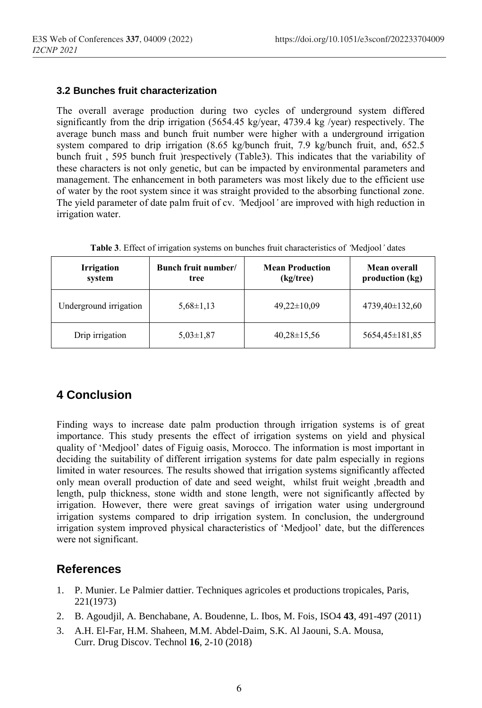#### **3.2 Bunches fruit characterization**

The overall average production during two cycles of underground system differed significantly from the drip irrigation (5654.45 kg/year, 4739.4 kg /year) respectively. The average bunch mass and bunch fruit number were higher with a underground irrigation system compared to drip irrigation (8.65 kg/bunch fruit, 7.9 kg/bunch fruit, and, 652.5 bunch fruit , 595 bunch fruit )respectively (Table3). This indicates that the variability of these characters is not only genetic, but can be impacted by environmental parameters and management. The enhancement in both parameters was most likely due to the efficient use of water by the root system since it was straight provided to the absorbing functional zone. The yield parameter of date palm fruit of cv. *'*Medjool*'* are improved with high reduction in irrigation water.

| <b>Irrigation</b><br>system | Bunch fruit number/<br>tree | <b>Mean Production</b><br>(kg/tree) | <b>Mean overall</b><br>production (kg) |  |
|-----------------------------|-----------------------------|-------------------------------------|----------------------------------------|--|
| Underground irrigation      | $5.68 \pm 1.13$             | $49.22 \pm 10.09$                   | $4739,40\pm132,60$                     |  |
| Drip irrigation             | $5,03\pm1,87$               | $40.28 \pm 15.56$                   | 5654,45±181,85                         |  |

|  |  | Table 3. Effect of irrigation systems on bunches fruit characteristics of Medjool' dates |  |  |  |  |  |
|--|--|------------------------------------------------------------------------------------------|--|--|--|--|--|
|--|--|------------------------------------------------------------------------------------------|--|--|--|--|--|

# **4 Conclusion**

Finding ways to increase date palm production through irrigation systems is of great importance. This study presents the effect of irrigation systems on yield and physical quality of 'Medjool' dates of Figuig oasis, Morocco. The information is most important in deciding the suitability of different irrigation systems for date palm especially in regions limited in water resources. The results showed that irrigation systems significantly affected only mean overall production of date and seed weight, whilst fruit weight ,breadth and length, pulp thickness, stone width and stone length, were not significantly affected by irrigation. However, there were great savings of irrigation water using underground irrigation systems compared to drip irrigation system. In conclusion, the underground irrigation system improved physical characteristics of 'Medjool' date, but the differences were not significant.

### **References**

- 1. P. Munier. Le Palmier dattier. Techniques agricoles et productions tropicales, Paris, 221(1973)
- 2. B. Agoudjil, A. Benchabane, A. Boudenne, L. Ibos, M. Fois, ISO4 **43**, 491-497 (2011)
- 3. A.H. El-Far, H.M. Shaheen, M.M. Abdel-Daim, S.K. Al Jaouni, S.A. Mousa, Curr. Drug Discov. Technol **16**, 2-10 (2018)